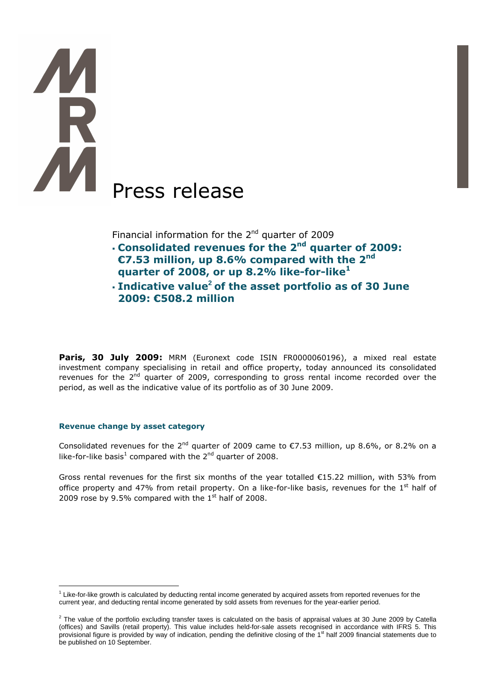# **TAR** Press release

Financial information for the  $2^{nd}$  quarter of 2009

- **Consolidated revenues for the 2nd quarter of 2009: €7.53 million, up 8.6% compared with the 2nd**
- **quarter of 2008, or up 8.2% like-for-like<sup>1</sup>**
- **Indicative value<sup>2</sup> of the asset portfolio as of 30 June 2009: €508.2 million**

Paris, 30 July 2009: MRM (Euronext code ISIN FR0000060196), a mixed real estate investment company specialising in retail and office property, today announced its consolidated revenues for the 2<sup>nd</sup> quarter of 2009, corresponding to gross rental income recorded over the period, as well as the indicative value of its portfolio as of 30 June 2009.

# **Revenue change by asset category**

Consolidated revenues for the 2<sup>nd</sup> quarter of 2009 came to  $\epsilon$ 7.53 million, up 8.6%, or 8.2% on a like-for-like basis<sup>1</sup> compared with the 2<sup>nd</sup> quarter of 2008.

Gross rental revenues for the first six months of the year totalled €15.22 million, with 53% from office property and 47% from retail property. On a like-for-like basis, revenues for the  $1<sup>st</sup>$  half of 2009 rose by 9.5% compared with the  $1<sup>st</sup>$  half of 2008.

 $\overline{a}$ <sup>1</sup> Like-for-like growth is calculated by deducting rental income generated by acquired assets from reported revenues for the current year, and deducting rental income generated by sold assets from revenues for the year-earlier period.

 $^2$  The value of the portfolio excluding transfer taxes is calculated on the basis of appraisal values at 30 June 2009 by Catella (offices) and Savills (retail property). This value includes held-for-sale assets recognised in accordance with IFRS 5. This provisional figure is provided by way of indication, pending the definitive closing of the 1<sup>st</sup> half 2009 financial statements due to be published on 10 September.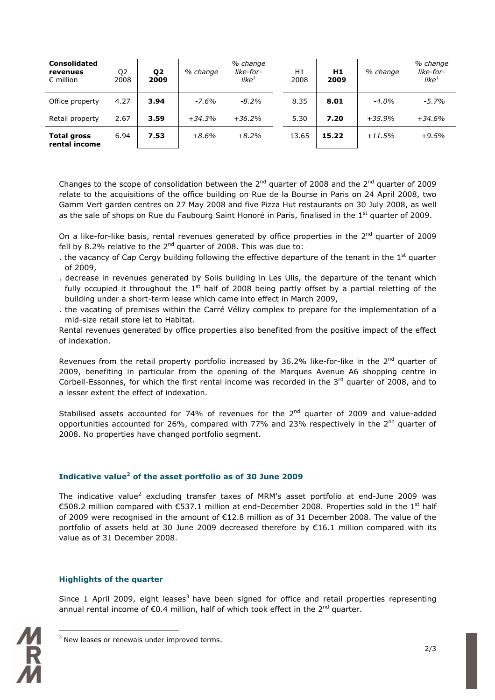| <b>Consolidated</b><br>revenues<br>$\epsilon$ million | Q <sub>2</sub><br>2008 | Q <sub>2</sub><br>2009 | % change | % change<br>like-for-<br>like $^1$ | Η1<br>2008 | H1<br>2009 | % change | % change<br>like-for-<br>like $^1$ |
|-------------------------------------------------------|------------------------|------------------------|----------|------------------------------------|------------|------------|----------|------------------------------------|
| Office property                                       | 4.27                   | 3.94                   | $-7.6%$  | $-8.2\%$                           | 8.35       | 8.01       | $-4.0%$  | $-5.7%$                            |
| Retail property                                       | 2.67                   | 3.59                   | $+34.3%$ | $+36.2%$                           | 5.30       | 7.20       | $+35.9%$ | $+34.6%$                           |
| <b>Total gross</b><br>rental income                   | 6.94                   | 7.53                   | $+8.6%$  | $+8.2%$                            | 13.65      | 15.22      | $+11.5%$ | $+9.5%$                            |

Changes to the scope of consolidation between the  $2^{nd}$  quarter of 2008 and the  $2^{nd}$  quarter of 2009 relate to the acquisitions of the office building on Rue de la Bourse in Paris on 24 April 2008, two Gamm Vert garden centres on 27 May 2008 and five Pizza Hut restaurants on 30 July 2008, as well as the sale of shops on Rue du Faubourg Saint Honoré in Paris, finalised in the  $1<sup>st</sup>$  quarter of 2009.

On a like-for-like basis, rental revenues generated by office properties in the  $2^{nd}$  quarter of 2009 fell by 8.2% relative to the  $2^{nd}$  quarter of 2008. This was due to:

- . the vacancy of Cap Cergy building following the effective departure of the tenant in the  $1<sup>st</sup>$  quarter of 2009,
- . decrease in revenues generated by Solis building in Les Ulis, the departure of the tenant which fully occupied it throughout the  $1<sup>st</sup>$  half of 2008 being partly offset by a partial reletting of the building under a short-term lease which came into effect in March 2009,
- . the vacating of premises within the Carré Vélizy complex to prepare for the implementation of a mid-size retail store let to Habitat.

Rental revenues generated by office properties also benefited from the positive impact of the effect of indexation.

Revenues from the retail property portfolio increased by 36.2% like-for-like in the  $2<sup>nd</sup>$  quarter of 2009, benefiting in particular from the opening of the Marques Avenue A6 shopping centre in Corbeil-Essonnes, for which the first rental income was recorded in the 3<sup>rd</sup> quarter of 2008, and to a lesser extent the effect of indexation.

Stabilised assets accounted for 74% of revenues for the  $2^{nd}$  quarter of 2009 and value-added opportunities accounted for 26%, compared with 77% and 23% respectively in the  $2^{nd}$  quarter of 2008. No properties have changed portfolio segment.

# **Indicative value<sup>2</sup> of the asset portfolio as of 30 June 2009**

The indicative value<sup>2</sup> excluding transfer taxes of MRM's asset portfolio at end-June 2009 was €508.2 million compared with €537.1 million at end-December 2008. Properties sold in the 1<sup>st</sup> half of 2009 were recognised in the amount of €12.8 million as of 31 December 2008. The value of the portfolio of assets held at 30 June 2009 decreased therefore by €16.1 million compared with its value as of 31 December 2008.

# **Highlights of the quarter**

Since 1 April 2009, eight leases<sup>3</sup> have been signed for office and retail properties representing annual rental income of  $\epsilon$ 0.4 million, half of which took effect in the 2<sup>nd</sup> quarter.



 $\overline{a}$ 

 $3$  New leases or renewals under improved terms.